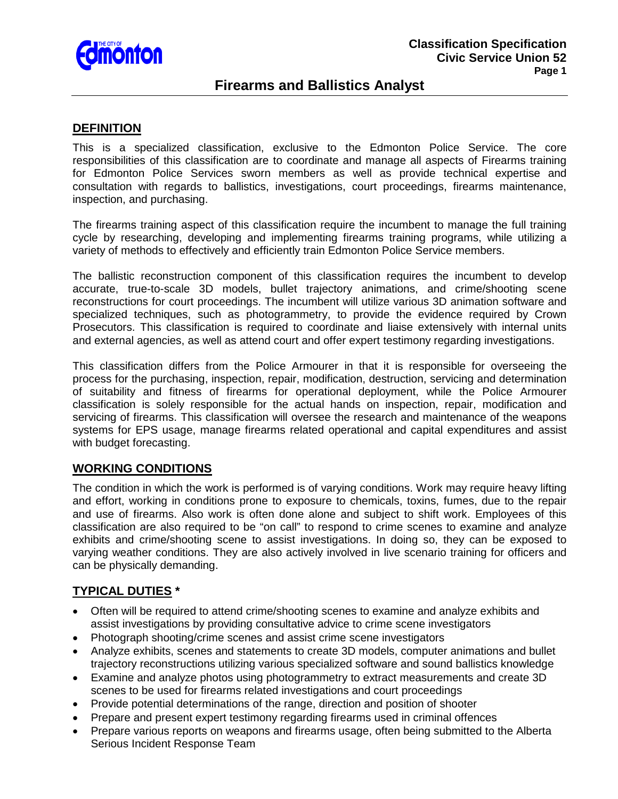

## **Firearms and Ballistics Analyst**

### **DEFINITION**

This is a specialized classification, exclusive to the Edmonton Police Service. The core responsibilities of this classification are to coordinate and manage all aspects of Firearms training for Edmonton Police Services sworn members as well as provide technical expertise and consultation with regards to ballistics, investigations, court proceedings, firearms maintenance, inspection, and purchasing.

The firearms training aspect of this classification require the incumbent to manage the full training cycle by researching, developing and implementing firearms training programs, while utilizing a variety of methods to effectively and efficiently train Edmonton Police Service members.

The ballistic reconstruction component of this classification requires the incumbent to develop accurate, true-to-scale 3D models, bullet trajectory animations, and crime/shooting scene reconstructions for court proceedings. The incumbent will utilize various 3D animation software and specialized techniques, such as photogrammetry, to provide the evidence required by Crown Prosecutors. This classification is required to coordinate and liaise extensively with internal units and external agencies, as well as attend court and offer expert testimony regarding investigations.

This classification differs from the Police Armourer in that it is responsible for overseeing the process for the purchasing, inspection, repair, modification, destruction, servicing and determination of suitability and fitness of firearms for operational deployment, while the Police Armourer classification is solely responsible for the actual hands on inspection, repair, modification and servicing of firearms. This classification will oversee the research and maintenance of the weapons systems for EPS usage, manage firearms related operational and capital expenditures and assist with budget forecasting.

### **WORKING CONDITIONS**

The condition in which the work is performed is of varying conditions. Work may require heavy lifting and effort, working in conditions prone to exposure to chemicals, toxins, fumes, due to the repair and use of firearms. Also work is often done alone and subject to shift work. Employees of this classification are also required to be "on call" to respond to crime scenes to examine and analyze exhibits and crime/shooting scene to assist investigations. In doing so, they can be exposed to varying weather conditions. They are also actively involved in live scenario training for officers and can be physically demanding.

### **TYPICAL DUTIES \***

- Often will be required to attend crime/shooting scenes to examine and analyze exhibits and assist investigations by providing consultative advice to crime scene investigators
- Photograph shooting/crime scenes and assist crime scene investigators
- Analyze exhibits, scenes and statements to create 3D models, computer animations and bullet trajectory reconstructions utilizing various specialized software and sound ballistics knowledge
- Examine and analyze photos using photogrammetry to extract measurements and create 3D scenes to be used for firearms related investigations and court proceedings
- Provide potential determinations of the range, direction and position of shooter
- Prepare and present expert testimony regarding firearms used in criminal offences
- Prepare various reports on weapons and firearms usage, often being submitted to the Alberta Serious Incident Response Team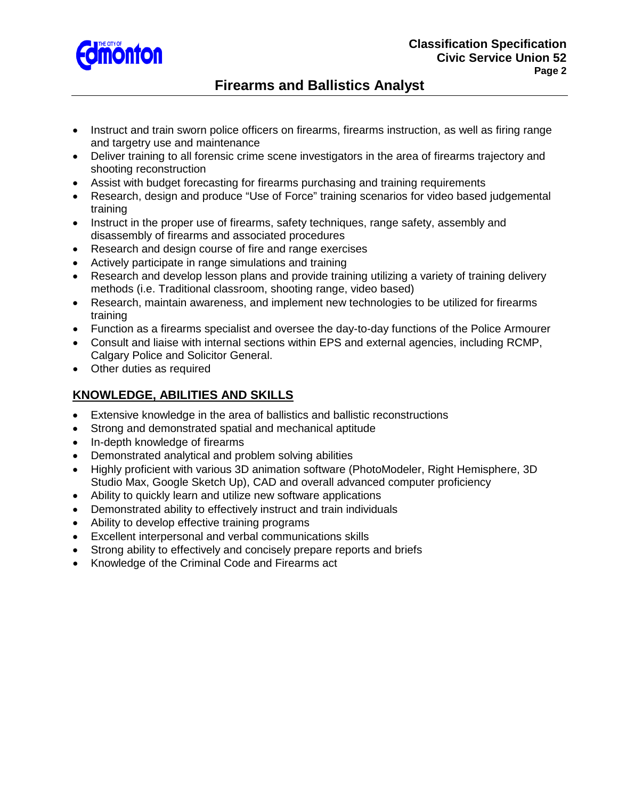

# **Firearms and Ballistics Analyst**

- Instruct and train sworn police officers on firearms, firearms instruction, as well as firing range and targetry use and maintenance
- Deliver training to all forensic crime scene investigators in the area of firearms trajectory and shooting reconstruction
- Assist with budget forecasting for firearms purchasing and training requirements
- Research, design and produce "Use of Force" training scenarios for video based judgemental training
- Instruct in the proper use of firearms, safety techniques, range safety, assembly and disassembly of firearms and associated procedures
- Research and design course of fire and range exercises
- Actively participate in range simulations and training
- Research and develop lesson plans and provide training utilizing a variety of training delivery methods (i.e. Traditional classroom, shooting range, video based)
- Research, maintain awareness, and implement new technologies to be utilized for firearms training
- Function as a firearms specialist and oversee the day-to-day functions of the Police Armourer
- Consult and liaise with internal sections within EPS and external agencies, including RCMP, Calgary Police and Solicitor General.
- Other duties as required

## **KNOWLEDGE, ABILITIES AND SKILLS**

- Extensive knowledge in the area of ballistics and ballistic reconstructions
- Strong and demonstrated spatial and mechanical aptitude
- In-depth knowledge of firearms
- Demonstrated analytical and problem solving abilities
- Highly proficient with various 3D animation software (PhotoModeler, Right Hemisphere, 3D Studio Max, Google Sketch Up), CAD and overall advanced computer proficiency
- Ability to quickly learn and utilize new software applications
- Demonstrated ability to effectively instruct and train individuals
- Ability to develop effective training programs
- Excellent interpersonal and verbal communications skills
- Strong ability to effectively and concisely prepare reports and briefs
- Knowledge of the Criminal Code and Firearms act